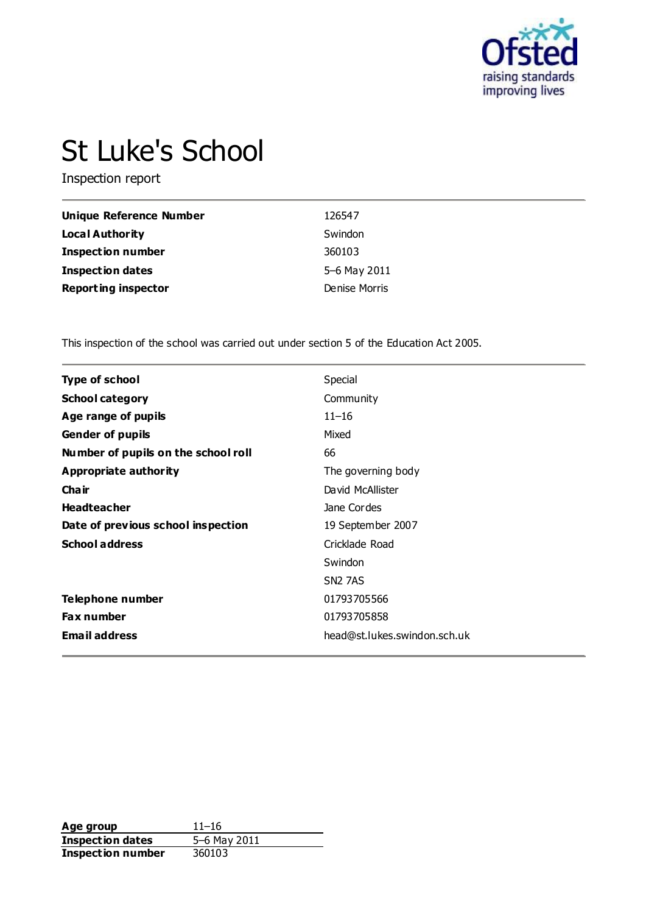

# St Luke's School

Inspection report

| Unique Reference Number    | 126547        |
|----------------------------|---------------|
| Local Authority            | Swindon       |
| <b>Inspection number</b>   | 360103        |
| <b>Inspection dates</b>    | 5-6 May 2011  |
| <b>Reporting inspector</b> | Denise Morris |

This inspection of the school was carried out under section 5 of the Education Act 2005.

| <b>Type of school</b>               | Special                      |
|-------------------------------------|------------------------------|
| <b>School category</b>              | Community                    |
| Age range of pupils                 | $11 - 16$                    |
| <b>Gender of pupils</b>             | Mixed                        |
| Number of pupils on the school roll | 66                           |
| <b>Appropriate authority</b>        | The governing body           |
| Cha ir                              | David McAllister             |
| <b>Headteacher</b>                  | Jane Cordes                  |
| Date of previous school inspection  | 19 September 2007            |
| <b>School address</b>               | Cricklade Road               |
|                                     | Swindon                      |
|                                     | <b>SN2 7AS</b>               |
| Telephone number                    | 01793705566                  |
| <b>Fax number</b>                   | 01793705858                  |
| <b>Email address</b>                | head@st.lukes.swindon.sch.uk |
|                                     |                              |

**Age group** 11–16<br> **Inspection dates** 5–6 May 2011 **Inspection dates** 5–6 May 2011 **Inspection number** 360103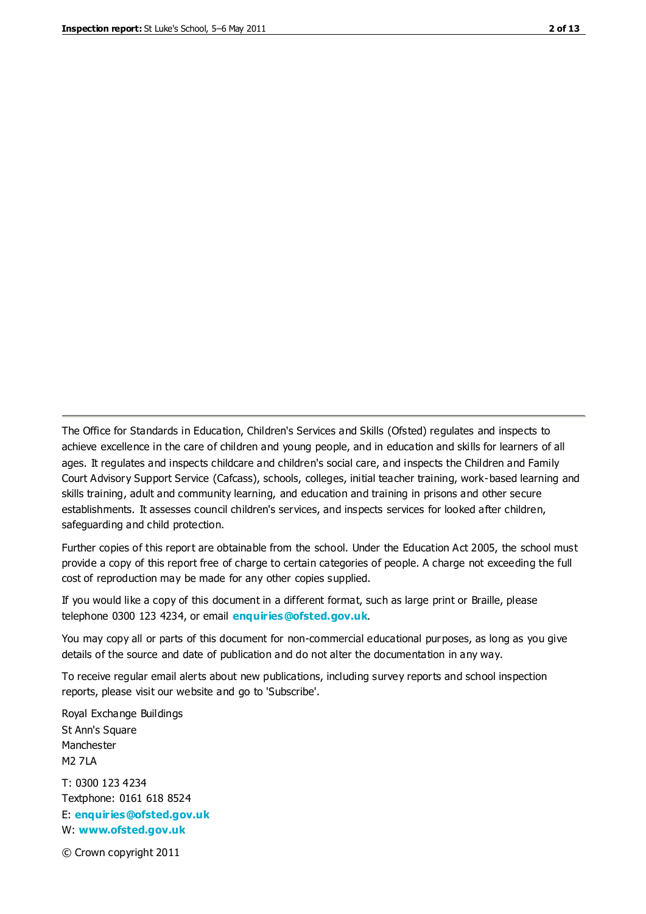The Office for Standards in Education, Children's Services and Skills (Ofsted) regulates and inspects to achieve excellence in the care of children and young people, and in education and skills for learners of all ages. It regulates and inspects childcare and children's social care, and inspects the Children and Family Court Advisory Support Service (Cafcass), schools, colleges, initial teacher training, work-based learning and skills training, adult and community learning, and education and training in prisons and other secure establishments. It assesses council children's services, and inspects services for looked after children, safeguarding and child protection.

Further copies of this report are obtainable from the school. Under the Education Act 2005, the school must provide a copy of this report free of charge to certain categories of people. A charge not exceeding the full cost of reproduction may be made for any other copies supplied.

If you would like a copy of this document in a different format, such as large print or Braille, please telephone 0300 123 4234, or email **[enquiries@ofsted.gov.uk](mailto:enquiries@ofsted.gov.uk)**.

You may copy all or parts of this document for non-commercial educational purposes, as long as you give details of the source and date of publication and do not alter the documentation in any way.

To receive regular email alerts about new publications, including survey reports and school inspection reports, please visit our website and go to 'Subscribe'.

Royal Exchange Buildings St Ann's Square Manchester M2 7LA T: 0300 123 4234 Textphone: 0161 618 8524 E: **[enquiries@ofsted.gov.uk](mailto:enquiries@ofsted.gov.uk)**

W: **[www.ofsted.gov.uk](http://www.ofsted.gov.uk/)**

© Crown copyright 2011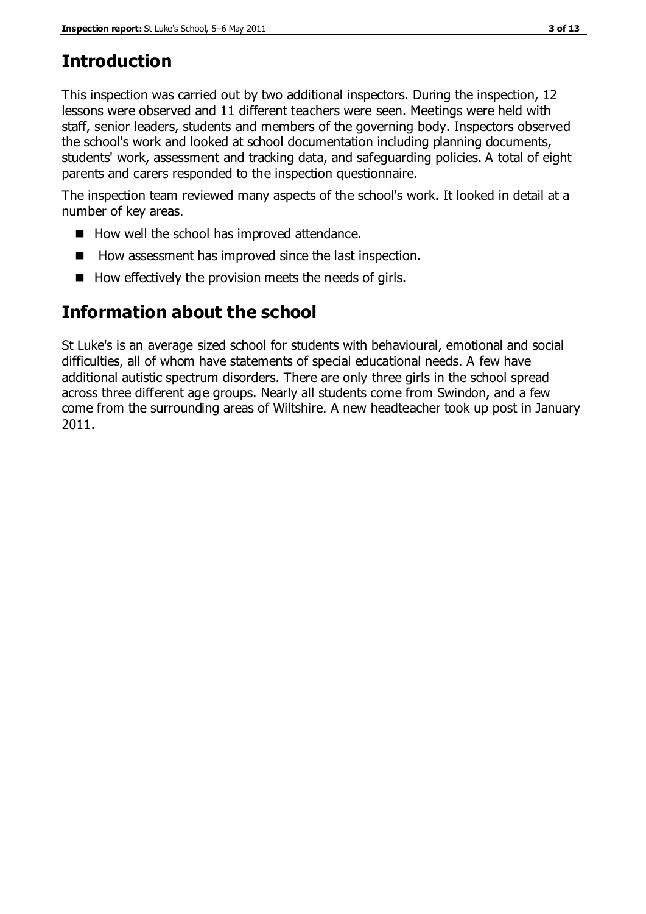# **Introduction**

This inspection was carried out by two additional inspectors. During the inspection, 12 lessons were observed and 11 different teachers were seen. Meetings were held with staff, senior leaders, students and members of the governing body. Inspectors observed the school's work and looked at school documentation including planning documents, students' work, assessment and tracking data, and safeguarding policies. A total of eight parents and carers responded to the inspection questionnaire.

The inspection team reviewed many aspects of the school's work. It looked in detail at a number of key areas.

- How well the school has improved attendance.
- $\blacksquare$  How assessment has improved since the last inspection.
- $\blacksquare$  How effectively the provision meets the needs of girls.

# **Information about the school**

St Luke's is an average sized school for students with behavioural, emotional and social difficulties, all of whom have statements of special educational needs. A few have additional autistic spectrum disorders. There are only three girls in the school spread across three different age groups. Nearly all students come from Swindon, and a few come from the surrounding areas of Wiltshire. A new headteacher took up post in January 2011.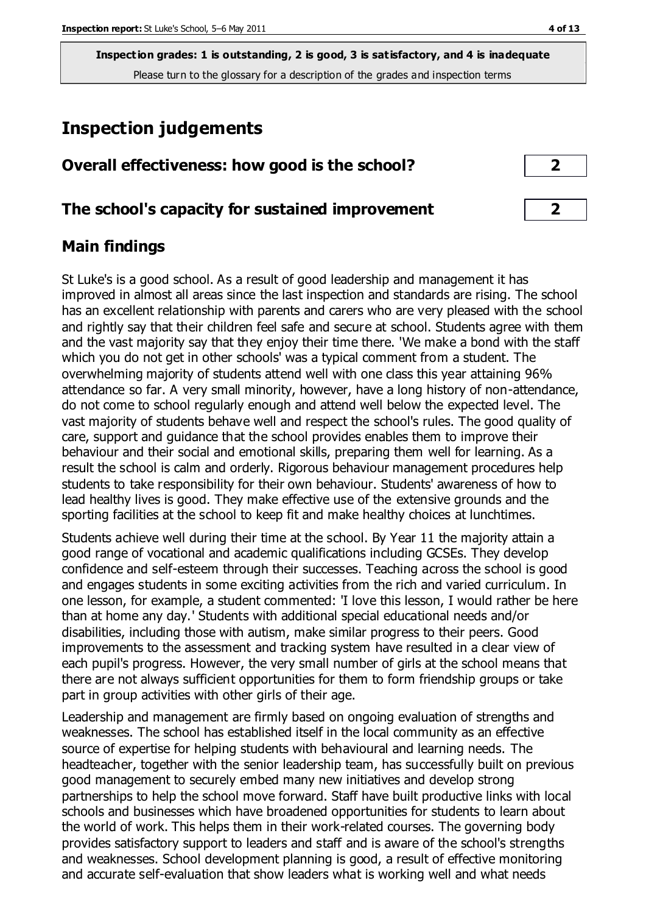# **Inspection judgements**

| Overall effectiveness: how good is the school? |  |
|------------------------------------------------|--|
|------------------------------------------------|--|

#### **The school's capacity for sustained improvement 2**

#### **Main findings**

St Luke's is a good school. As a result of good leadership and management it has improved in almost all areas since the last inspection and standards are rising. The school has an excellent relationship with parents and carers who are very pleased with the school and rightly say that their children feel safe and secure at school. Students agree with them and the vast majority say that they enjoy their time there. 'We make a bond with the staff which you do not get in other schools' was a typical comment from a student. The overwhelming majority of students attend well with one class this year attaining 96% attendance so far. A very small minority, however, have a long history of non-attendance, do not come to school regularly enough and attend well below the expected level. The vast majority of students behave well and respect the school's rules. The good quality of care, support and guidance that the school provides enables them to improve their behaviour and their social and emotional skills, preparing them well for learning. As a result the school is calm and orderly. Rigorous behaviour management procedures help students to take responsibility for their own behaviour. Students' awareness of how to lead healthy lives is good. They make effective use of the extensive grounds and the sporting facilities at the school to keep fit and make healthy choices at lunchtimes.

Students achieve well during their time at the school. By Year 11 the majority attain a good range of vocational and academic qualifications including GCSEs. They develop confidence and self-esteem through their successes. Teaching across the school is good and engages students in some exciting activities from the rich and varied curriculum. In one lesson, for example, a student commented: 'I love this lesson, I would rather be here than at home any day.' Students with additional special educational needs and/or disabilities, including those with autism, make similar progress to their peers. Good improvements to the assessment and tracking system have resulted in a clear view of each pupil's progress. However, the very small number of girls at the school means that there are not always sufficient opportunities for them to form friendship groups or take part in group activities with other girls of their age.

Leadership and management are firmly based on ongoing evaluation of strengths and weaknesses. The school has established itself in the local community as an effective source of expertise for helping students with behavioural and learning needs. The headteacher, together with the senior leadership team, has successfully built on previous good management to securely embed many new initiatives and develop strong partnerships to help the school move forward. Staff have built productive links with local schools and businesses which have broadened opportunities for students to learn about the world of work. This helps them in their work-related courses. The governing body provides satisfactory support to leaders and staff and is aware of the school's strengths and weaknesses. School development planning is good, a result of effective monitoring and accurate self-evaluation that show leaders what is working well and what needs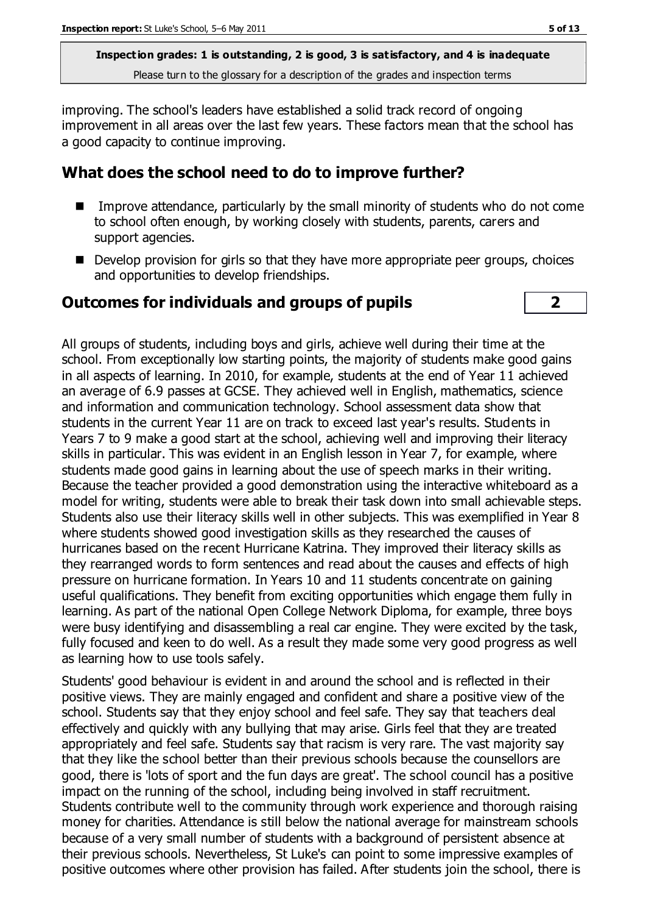improving. The school's leaders have established a solid track record of ongoing improvement in all areas over the last few years. These factors mean that the school has a good capacity to continue improving.

#### **What does the school need to do to improve further?**

- Improve attendance, particularly by the small minority of students who do not come to school often enough, by working closely with students, parents, carers and support agencies.
- Develop provision for girls so that they have more appropriate peer groups, choices and opportunities to develop friendships.

#### **Outcomes for individuals and groups of pupils 2**



All groups of students, including boys and girls, achieve well during their time at the school. From exceptionally low starting points, the majority of students make good gains in all aspects of learning. In 2010, for example, students at the end of Year 11 achieved an average of 6.9 passes at GCSE. They achieved well in English, mathematics, science and information and communication technology. School assessment data show that students in the current Year 11 are on track to exceed last year's results. Students in Years 7 to 9 make a good start at the school, achieving well and improving their literacy skills in particular. This was evident in an English lesson in Year 7, for example, where students made good gains in learning about the use of speech marks in their writing. Because the teacher provided a good demonstration using the interactive whiteboard as a model for writing, students were able to break their task down into small achievable steps. Students also use their literacy skills well in other subjects. This was exemplified in Year 8 where students showed good investigation skills as they researched the causes of hurricanes based on the recent Hurricane Katrina. They improved their literacy skills as they rearranged words to form sentences and read about the causes and effects of high pressure on hurricane formation. In Years 10 and 11 students concentrate on gaining useful qualifications. They benefit from exciting opportunities which engage them fully in learning. As part of the national Open College Network Diploma, for example, three boys were busy identifying and disassembling a real car engine. They were excited by the task, fully focused and keen to do well. As a result they made some very good progress as well as learning how to use tools safely.

Students' good behaviour is evident in and around the school and is reflected in their positive views. They are mainly engaged and confident and share a positive view of the school. Students say that they enjoy school and feel safe. They say that teachers deal effectively and quickly with any bullying that may arise. Girls feel that they are treated appropriately and feel safe. Students say that racism is very rare. The vast majority say that they like the school better than their previous schools because the counsellors are good, there is 'lots of sport and the fun days are great'. The school council has a positive impact on the running of the school, including being involved in staff recruitment. Students contribute well to the community through work experience and thorough raising money for charities. Attendance is still below the national average for mainstream schools because of a very small number of students with a background of persistent absence at their previous schools. Nevertheless, St Luke's can point to some impressive examples of positive outcomes where other provision has failed. After students join the school, there is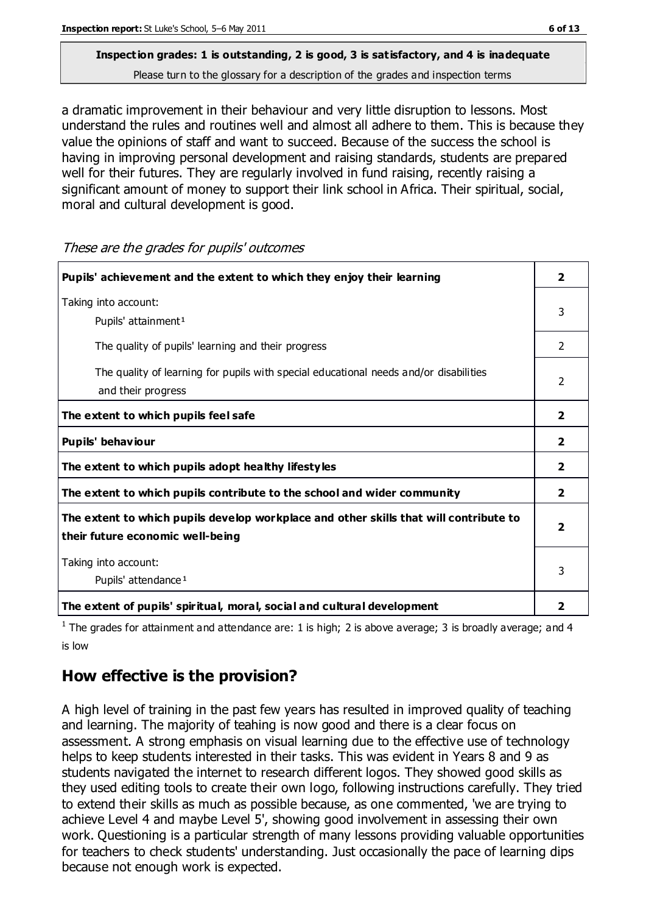# **Inspection grades: 1 is outstanding, 2 is good, 3 is satisfactory, and 4 is inadequate**

Please turn to the glossary for a description of the grades and inspection terms

a dramatic improvement in their behaviour and very little disruption to lessons. Most understand the rules and routines well and almost all adhere to them. This is because they value the opinions of staff and want to succeed. Because of the success the school is having in improving personal development and raising standards, students are prepared well for their futures. They are regularly involved in fund raising, recently raising a significant amount of money to support their link school in Africa. Their spiritual, social, moral and cultural development is good.

**Pupils' achievement and the extent to which they enjoy their learning 2** Taking into account: Pupils' attainment<sup>1</sup> 3 The quality of pupils' learning and their progress 2 The quality of learning for pupils with special educational needs and/or disabilities and their progress 2 **The extent to which pupils feel safe 2 Pupils' behaviour 2 The extent to which pupils adopt healthy lifestyles 2 The extent to which pupils contribute to the school and wider community 2 The extent to which pupils develop workplace and other skills that will contribute to their future economic well-being 2** Taking into account: Pupils' attendance<sup>1</sup> 3 **The extent of pupils' spiritual, moral, social and cultural development 2**

These are the grades for pupils' outcomes

<sup>1</sup> The grades for attainment and attendance are: 1 is high; 2 is above average; 3 is broadly average; and 4 is low

### **How effective is the provision?**

A high level of training in the past few years has resulted in improved quality of teaching and learning. The majority of teahing is now good and there is a clear focus on assessment. A strong emphasis on visual learning due to the effective use of technology helps to keep students interested in their tasks. This was evident in Years 8 and 9 as students navigated the internet to research different logos. They showed good skills as they used editing tools to create their own logo, following instructions carefully. They tried to extend their skills as much as possible because, as one commented, 'we are trying to achieve Level 4 and maybe Level 5', showing good involvement in assessing their own work. Questioning is a particular strength of many lessons providing valuable opportunities for teachers to check students' understanding. Just occasionally the pace of learning dips because not enough work is expected.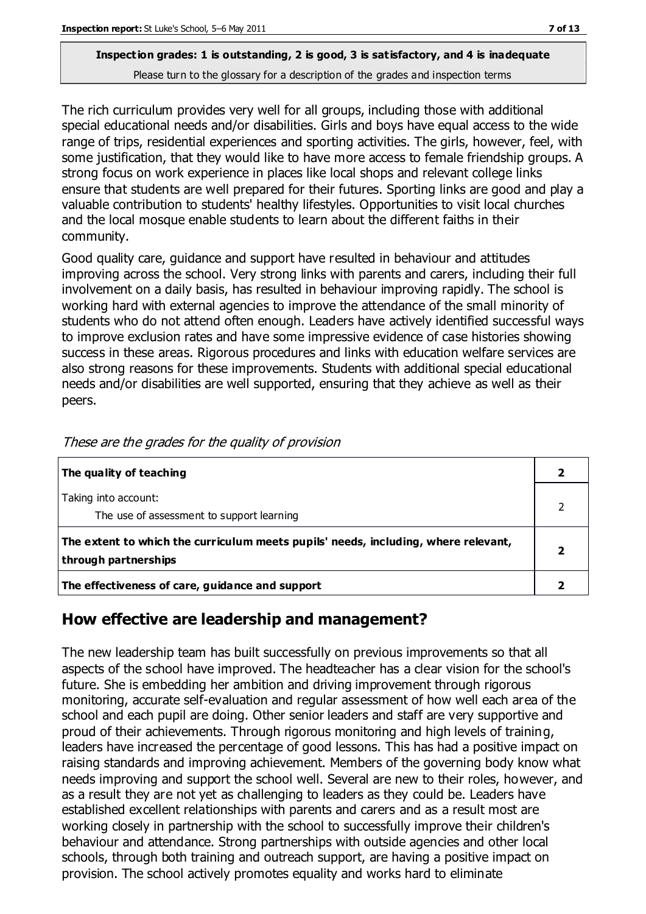The rich curriculum provides very well for all groups, including those with additional special educational needs and/or disabilities. Girls and boys have equal access to the wide range of trips, residential experiences and sporting activities. The girls, however, feel, with some justification, that they would like to have more access to female friendship groups. A strong focus on work experience in places like local shops and relevant college links ensure that students are well prepared for their futures. Sporting links are good and play a valuable contribution to students' healthy lifestyles. Opportunities to visit local churches and the local mosque enable students to learn about the different faiths in their community.

Good quality care, guidance and support have resulted in behaviour and attitudes improving across the school. Very strong links with parents and carers, including their full involvement on a daily basis, has resulted in behaviour improving rapidly. The school is working hard with external agencies to improve the attendance of the small minority of students who do not attend often enough. Leaders have actively identified successful ways to improve exclusion rates and have some impressive evidence of case histories showing success in these areas. Rigorous procedures and links with education welfare services are also strong reasons for these improvements. Students with additional special educational needs and/or disabilities are well supported, ensuring that they achieve as well as their peers.

| The quality of teaching                                                                                    |  |
|------------------------------------------------------------------------------------------------------------|--|
| Taking into account:<br>The use of assessment to support learning                                          |  |
| The extent to which the curriculum meets pupils' needs, including, where relevant,<br>through partnerships |  |
| The effectiveness of care, guidance and support                                                            |  |

These are the grades for the quality of provision

#### **How effective are leadership and management?**

The new leadership team has built successfully on previous improvements so that all aspects of the school have improved. The headteacher has a clear vision for the school's future. She is embedding her ambition and driving improvement through rigorous monitoring, accurate self-evaluation and regular assessment of how well each area of the school and each pupil are doing. Other senior leaders and staff are very supportive and proud of their achievements. Through rigorous monitoring and high levels of training, leaders have increased the percentage of good lessons. This has had a positive impact on raising standards and improving achievement. Members of the governing body know what needs improving and support the school well. Several are new to their roles, however, and as a result they are not yet as challenging to leaders as they could be. Leaders have established excellent relationships with parents and carers and as a result most are working closely in partnership with the school to successfully improve their children's behaviour and attendance. Strong partnerships with outside agencies and other local schools, through both training and outreach support, are having a positive impact on provision. The school actively promotes equality and works hard to eliminate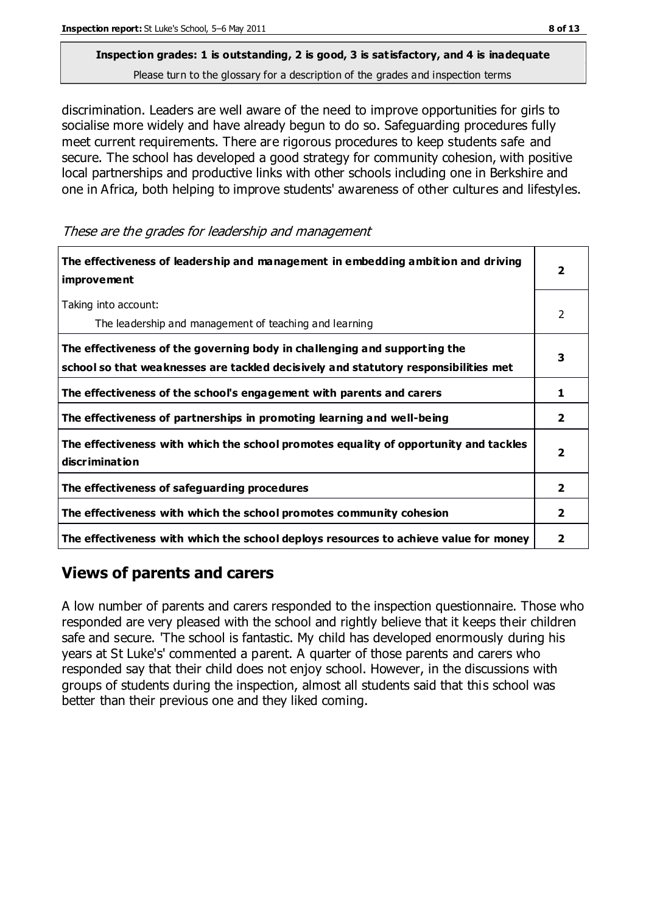discrimination. Leaders are well aware of the need to improve opportunities for girls to socialise more widely and have already begun to do so. Safeguarding procedures fully meet current requirements. There are rigorous procedures to keep students safe and secure. The school has developed a good strategy for community cohesion, with positive local partnerships and productive links with other schools including one in Berkshire and one in Africa, both helping to improve students' awareness of other cultures and lifestyles.

These are the grades for leadership and management

| The effectiveness of leadership and management in embedding ambition and driving<br>improvement                                                                  |                |
|------------------------------------------------------------------------------------------------------------------------------------------------------------------|----------------|
| Taking into account:<br>The leadership and management of teaching and learning                                                                                   | 2              |
| The effectiveness of the governing body in challenging and supporting the<br>school so that weaknesses are tackled decisively and statutory responsibilities met | 3              |
| The effectiveness of the school's engagement with parents and carers                                                                                             | 1              |
| The effectiveness of partnerships in promoting learning and well-being                                                                                           | $\overline{2}$ |
| The effectiveness with which the school promotes equality of opportunity and tackles<br>discrimination                                                           | $\overline{2}$ |
| The effectiveness of safeguarding procedures                                                                                                                     | $\mathbf{2}$   |
| The effectiveness with which the school promotes community cohesion                                                                                              | 2              |
| The effectiveness with which the school deploys resources to achieve value for money                                                                             | 2              |

#### **Views of parents and carers**

A low number of parents and carers responded to the inspection questionnaire. Those who responded are very pleased with the school and rightly believe that it keeps their children safe and secure. 'The school is fantastic. My child has developed enormously during his years at St Luke's' commented a parent. A quarter of those parents and carers who responded say that their child does not enjoy school. However, in the discussions with groups of students during the inspection, almost all students said that this school was better than their previous one and they liked coming.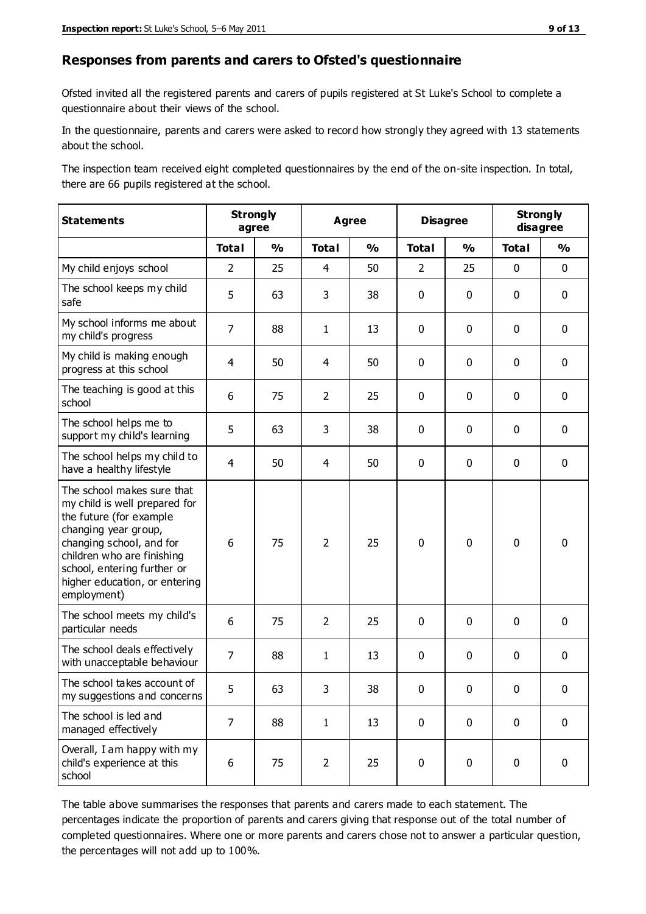#### **Responses from parents and carers to Ofsted's questionnaire**

Ofsted invited all the registered parents and carers of pupils registered at St Luke's School to complete a questionnaire about their views of the school.

In the questionnaire, parents and carers were asked to record how strongly they agreed with 13 statements about the school.

The inspection team received eight completed questionnaires by the end of the on-site inspection. In total, there are 66 pupils registered at the school.

| <b>Statements</b>                                                                                                                                                                                                                                       | <b>Strongly</b><br>agree |               | <b>Agree</b>   |               | <b>Disagree</b> |               | <b>Strongly</b><br>disagree |               |
|---------------------------------------------------------------------------------------------------------------------------------------------------------------------------------------------------------------------------------------------------------|--------------------------|---------------|----------------|---------------|-----------------|---------------|-----------------------------|---------------|
|                                                                                                                                                                                                                                                         | <b>Total</b>             | $\frac{1}{2}$ | <b>Total</b>   | $\frac{1}{2}$ | <b>Total</b>    | $\frac{0}{0}$ | <b>Total</b>                | $\frac{0}{0}$ |
| My child enjoys school                                                                                                                                                                                                                                  | $\overline{2}$           | 25            | 4              | 50            | $\overline{2}$  | 25            | 0                           | $\mathbf 0$   |
| The school keeps my child<br>safe                                                                                                                                                                                                                       | 5                        | 63            | 3              | 38            | 0               | 0             | $\mathbf 0$                 | $\mathbf 0$   |
| My school informs me about<br>my child's progress                                                                                                                                                                                                       | $\overline{7}$           | 88            | $\mathbf{1}$   | 13            | 0               | $\mathbf 0$   | $\mathbf 0$                 | $\mathbf 0$   |
| My child is making enough<br>progress at this school                                                                                                                                                                                                    | 4                        | 50            | $\overline{4}$ | 50            | 0               | 0             | $\mathbf 0$                 | $\mathbf 0$   |
| The teaching is good at this<br>school                                                                                                                                                                                                                  | 6                        | 75            | $\overline{2}$ | 25            | 0               | $\mathbf 0$   | $\mathbf 0$                 | $\mathbf 0$   |
| The school helps me to<br>support my child's learning                                                                                                                                                                                                   | 5                        | 63            | 3              | 38            | 0               | 0             | 0                           | $\mathbf 0$   |
| The school helps my child to<br>have a healthy lifestyle                                                                                                                                                                                                | $\overline{4}$           | 50            | 4              | 50            | 0               | 0             | $\mathbf{0}$                | $\mathbf 0$   |
| The school makes sure that<br>my child is well prepared for<br>the future (for example<br>changing year group,<br>changing school, and for<br>children who are finishing<br>school, entering further or<br>higher education, or entering<br>employment) | 6                        | 75            | $\overline{2}$ | 25            | $\mathbf 0$     | $\mathbf 0$   | $\mathbf 0$                 | $\mathbf 0$   |
| The school meets my child's<br>particular needs                                                                                                                                                                                                         | 6                        | 75            | $\overline{2}$ | 25            | 0               | 0             | $\mathbf 0$                 | $\mathbf 0$   |
| The school deals effectively<br>with unacceptable behaviour                                                                                                                                                                                             | $\overline{7}$           | 88            | $\mathbf{1}$   | 13            | 0               | 0             | $\mathbf 0$                 | $\mathbf 0$   |
| The school takes account of<br>my suggestions and concerns                                                                                                                                                                                              | 5                        | 63            | 3              | 38            | 0               | 0             | 0                           | 0             |
| The school is led and<br>managed effectively                                                                                                                                                                                                            | $\overline{7}$           | 88            | $\mathbf{1}$   | 13            | $\pmb{0}$       | $\mathbf 0$   | $\mathbf 0$                 | $\mathbf 0$   |
| Overall, I am happy with my<br>child's experience at this<br>school                                                                                                                                                                                     | 6                        | 75            | $\overline{2}$ | 25            | 0               | $\pmb{0}$     | $\pmb{0}$                   | $\mathbf 0$   |

The table above summarises the responses that parents and carers made to each statement. The percentages indicate the proportion of parents and carers giving that response out of the total number of completed questionnaires. Where one or more parents and carers chose not to answer a particular question, the percentages will not add up to 100%.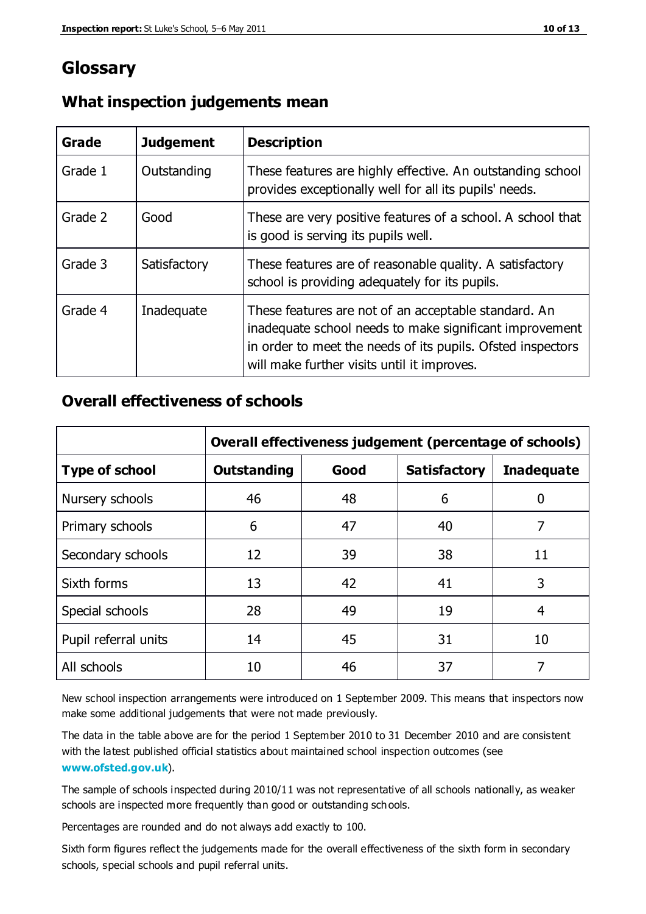## **Glossary**

| Grade   | <b>Judgement</b> | <b>Description</b>                                                                                                                                                                                                            |
|---------|------------------|-------------------------------------------------------------------------------------------------------------------------------------------------------------------------------------------------------------------------------|
| Grade 1 | Outstanding      | These features are highly effective. An outstanding school<br>provides exceptionally well for all its pupils' needs.                                                                                                          |
| Grade 2 | Good             | These are very positive features of a school. A school that<br>is good is serving its pupils well.                                                                                                                            |
| Grade 3 | Satisfactory     | These features are of reasonable quality. A satisfactory<br>school is providing adequately for its pupils.                                                                                                                    |
| Grade 4 | Inadequate       | These features are not of an acceptable standard. An<br>inadequate school needs to make significant improvement<br>in order to meet the needs of its pupils. Ofsted inspectors<br>will make further visits until it improves. |

#### **What inspection judgements mean**

#### **Overall effectiveness of schools**

|                       | Overall effectiveness judgement (percentage of schools) |      |                     |                   |
|-----------------------|---------------------------------------------------------|------|---------------------|-------------------|
| <b>Type of school</b> | <b>Outstanding</b>                                      | Good | <b>Satisfactory</b> | <b>Inadequate</b> |
| Nursery schools       | 46                                                      | 48   | 6                   |                   |
| Primary schools       | 6                                                       | 47   | 40                  | 7                 |
| Secondary schools     | 12                                                      | 39   | 38                  | 11                |
| Sixth forms           | 13                                                      | 42   | 41                  | 3                 |
| Special schools       | 28                                                      | 49   | 19                  | 4                 |
| Pupil referral units  | 14                                                      | 45   | 31                  | 10                |
| All schools           | 10                                                      | 46   | 37                  |                   |

New school inspection arrangements were introduced on 1 September 2009. This means that inspectors now make some additional judgements that were not made previously.

The data in the table above are for the period 1 September 2010 to 31 December 2010 and are consistent with the latest published official statistics about maintained school inspection outcomes (see **[www.ofsted.gov.uk](http://www.ofsted.gov.uk/)**).

The sample of schools inspected during 2010/11 was not representative of all schools nationally, as weaker schools are inspected more frequently than good or outstanding schools.

Percentages are rounded and do not always add exactly to 100.

Sixth form figures reflect the judgements made for the overall effectiveness of the sixth form in secondary schools, special schools and pupil referral units.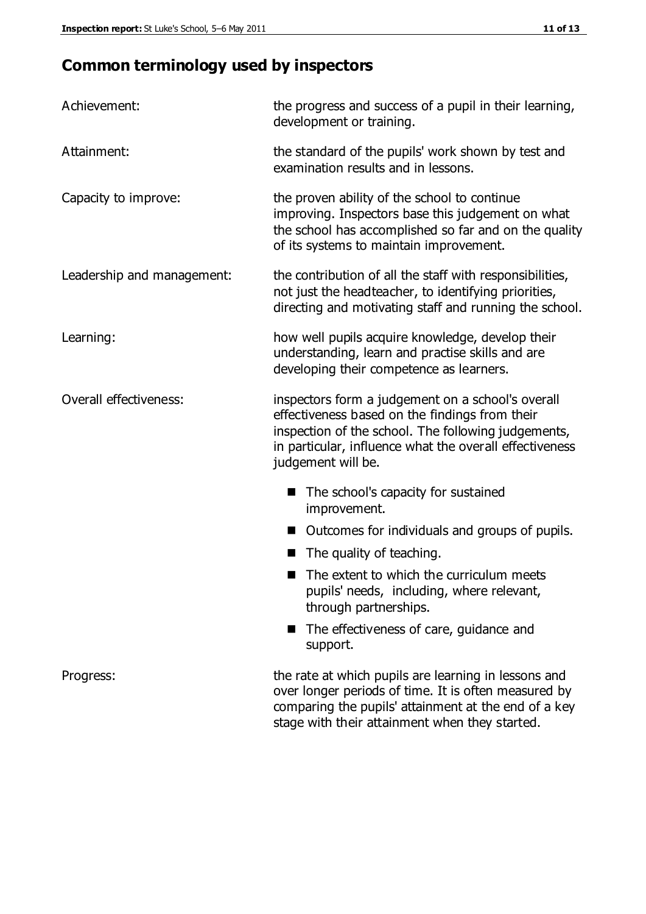# **Common terminology used by inspectors**

| Achievement:               | the progress and success of a pupil in their learning,<br>development or training.                                                                                                                                                          |  |  |
|----------------------------|---------------------------------------------------------------------------------------------------------------------------------------------------------------------------------------------------------------------------------------------|--|--|
| Attainment:                | the standard of the pupils' work shown by test and<br>examination results and in lessons.                                                                                                                                                   |  |  |
| Capacity to improve:       | the proven ability of the school to continue<br>improving. Inspectors base this judgement on what<br>the school has accomplished so far and on the quality<br>of its systems to maintain improvement.                                       |  |  |
| Leadership and management: | the contribution of all the staff with responsibilities,<br>not just the headteacher, to identifying priorities,<br>directing and motivating staff and running the school.                                                                  |  |  |
| Learning:                  | how well pupils acquire knowledge, develop their<br>understanding, learn and practise skills and are<br>developing their competence as learners.                                                                                            |  |  |
| Overall effectiveness:     | inspectors form a judgement on a school's overall<br>effectiveness based on the findings from their<br>inspection of the school. The following judgements,<br>in particular, influence what the overall effectiveness<br>judgement will be. |  |  |
|                            | The school's capacity for sustained<br>improvement.                                                                                                                                                                                         |  |  |
|                            | Outcomes for individuals and groups of pupils.                                                                                                                                                                                              |  |  |
|                            | The quality of teaching.                                                                                                                                                                                                                    |  |  |
|                            | The extent to which the curriculum meets<br>pupils' needs, including, where relevant,<br>through partnerships.                                                                                                                              |  |  |
|                            | The effectiveness of care, guidance and<br>support.                                                                                                                                                                                         |  |  |
| Progress:                  | the rate at which pupils are learning in lessons and<br>over longer periods of time. It is often measured by<br>comparing the pupils' attainment at the end of a key                                                                        |  |  |

stage with their attainment when they started.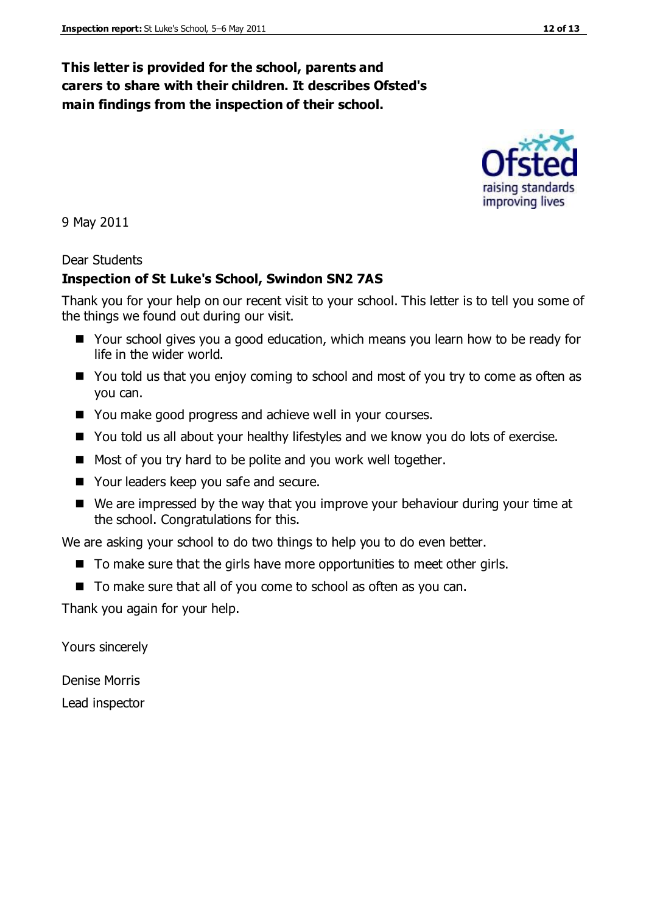#### **This letter is provided for the school, parents and carers to share with their children. It describes Ofsted's main findings from the inspection of their school.**

9 May 2011

#### Dear Students

#### **Inspection of St Luke's School, Swindon SN2 7AS**

Thank you for your help on our recent visit to your school. This letter is to tell you some of the things we found out during our visit.

- Your school gives you a good education, which means you learn how to be ready for life in the wider world.
- You told us that you enjoy coming to school and most of you try to come as often as you can.
- You make good progress and achieve well in your courses.
- You told us all about your healthy lifestyles and we know you do lots of exercise.
- Most of you try hard to be polite and you work well together.
- Your leaders keep you safe and secure.
- We are impressed by the way that you improve your behaviour during your time at the school. Congratulations for this.

We are asking your school to do two things to help you to do even better.

- $\blacksquare$  To make sure that the girls have more opportunities to meet other girls.
- To make sure that all of you come to school as often as you can.

Thank you again for your help.

Yours sincerely

Denise Morris Lead inspector